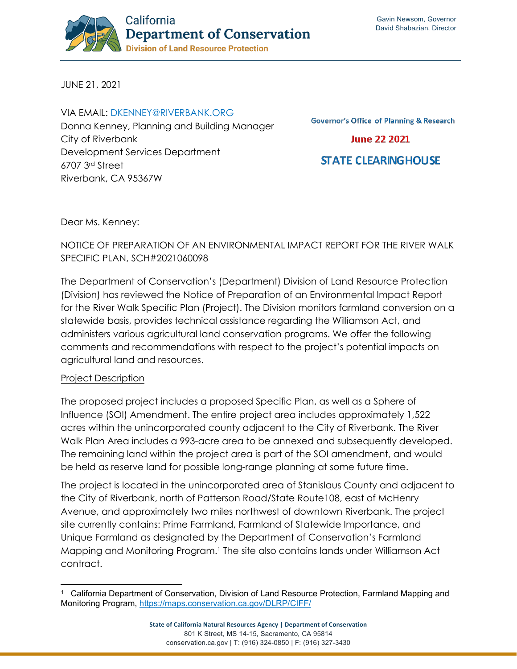

JUNE 21, 2021

VIA EMAIL: [DKENNEY@RIVERBANK.ORG](mailto:dkenney@riverbank.org) Donna Kenney, Planning and Building Manager City of Riverbank Development Services Department 6707 3rd Street Riverbank, CA 95367W

**Governor's Office of Planning & Research** 

**June 22 2021** 

**STATE CLEARING HOUSE** 

Dear Ms. Kenney:

# NOTICE OF PREPARATION OF AN ENVIRONMENTAL IMPACT REPORT FOR THE RIVER WALK SPECIFIC PLAN, SCH#2021060098

The Department of Conservation's (Department) Division of Land Resource Protection (Division) has reviewed the Notice of Preparation of an Environmental Impact Report for the River Walk Specific Plan (Project). The Division monitors farmland conversion on a statewide basis, provides technical assistance regarding the Williamson Act, and administers various agricultural land conservation programs. We offer the following comments and recommendations with respect to the project's potential impacts on agricultural land and resources.

### Project Description

The proposed project includes a proposed Specific Plan, as well as a Sphere of Influence (SOI) Amendment. The entire project area includes approximately 1,522 acres within the unincorporated county adjacent to the City of Riverbank. The River Walk Plan Area includes a 993-acre area to be annexed and subsequently developed. The remaining land within the project area is part of the SOI amendment, and would be held as reserve land for possible long-range planning at some future time.

The project is located in the unincorporated area of Stanislaus County and adjacent to the City of Riverbank, north of Patterson Road/State Route108, east of McHenry Avenue, and approximately two miles northwest of downtown Riverbank. The project site currently contains: Prime Farmland, Farmland of Statewide Importance, and Unique Farmland as designated by the Department of Conservation's Farmland Mapping and Monitoring Program.[1](#page-0-0) The site also contains lands under Williamson Act contract.

<span id="page-0-0"></span><sup>&</sup>lt;sup>1</sup> California Department of Conservation, Division of Land Resource Protection, Farmland Mapping and Monitoring Program,<https://maps.conservation.ca.gov/DLRP/CIFF/>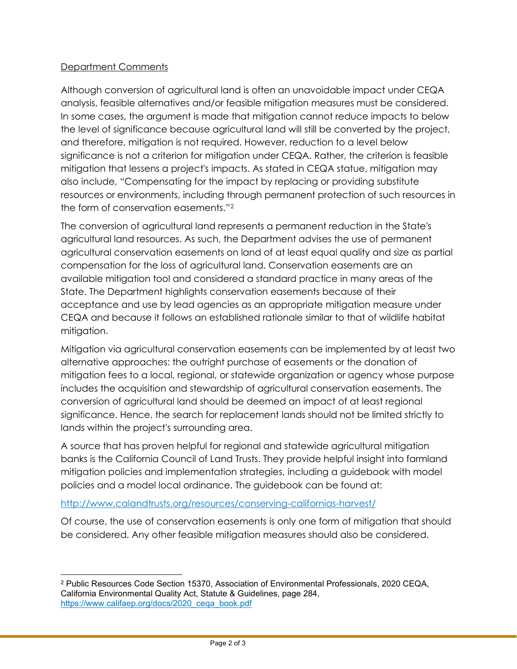## Department Comments

Although conversion of agricultural land is often an unavoidable impact under CEQA analysis, feasible alternatives and/or feasible mitigation measures must be considered. In some cases, the argument is made that mitigation cannot reduce impacts to below the level of significance because agricultural land will still be converted by the project, and therefore, mitigation is not required. However, reduction to a level below significance is not a criterion for mitigation under CEQA. Rather, the criterion is feasible mitigation that lessens a project's impacts. As stated in CEQA statue, mitigation may also include, "Compensating for the impact by replacing or providing substitute resources or environments, including through permanent protection of such resources in the form of conservation easements."[2](#page-1-0)

The conversion of agricultural land represents a permanent reduction in the State's agricultural land resources. As such, the Department advises the use of permanent agricultural conservation easements on land of at least equal quality and size as partial compensation for the loss of agricultural land. Conservation easements are an available mitigation tool and considered a standard practice in many areas of the State. The Department highlights conservation easements because of their acceptance and use by lead agencies as an appropriate mitigation measure under CEQA and because it follows an established rationale similar to that of wildlife habitat mitigation.

Mitigation via agricultural conservation easements can be implemented by at least two alternative approaches: the outright purchase of easements or the donation of mitigation fees to a local, regional, or statewide organization or agency whose purpose includes the acquisition and stewardship of agricultural conservation easements. The conversion of agricultural land should be deemed an impact of at least regional significance. Hence, the search for replacement lands should not be limited strictly to lands within the project's surrounding area.

A source that has proven helpful for regional and statewide agricultural mitigation banks is the California Council of Land Trusts. They provide helpful insight into farmland mitigation policies and implementation strategies, including a guidebook with model policies and a model local ordinance. The guidebook can be found at:

### <http://www.calandtrusts.org/resources/conserving-californias-harvest/>

Of course, the use of conservation easements is only one form of mitigation that should be considered. Any other feasible mitigation measures should also be considered.

<span id="page-1-0"></span><sup>2</sup> Public Resources Code Section 15370, Association of Environmental Professionals, 2020 CEQA, California Environmental Quality Act, Statute & Guidelines, page 284, [https://www.califaep.org/docs/2020\\_ceqa\\_book.pdf](https://www.califaep.org/docs/2020_ceqa_book.pdf)